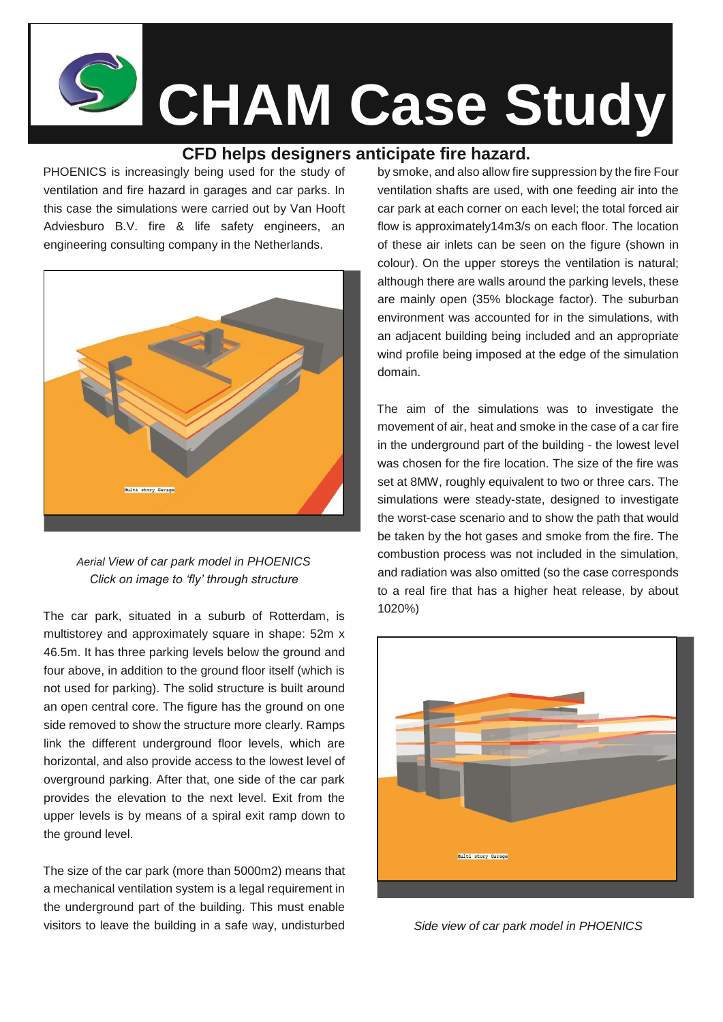**CHAM Case Study**

## **CFD helps designers anticipate fire hazard.**

PHOENICS is increasingly being used for the study of ventilation and fire hazard in garages and car parks. In this case the simulations were carried out by Van Hooft Adviesburo B.V. fire & life safety engineers, an engineering consulting company in the Netherlands.



*Aerial View of car park model in PHOENICS Click on image to 'fly' through structure*

The car park, situated in a suburb of Rotterdam, is multistorey and approximately square in shape: 52m x 46.5m. It has three parking levels below the ground and four above, in addition to the ground floor itself (which is not used for parking). The solid structure is built around an open central core. The figure has the ground on one side removed to show the structure more clearly. Ramps link the different underground floor levels, which are horizontal, and also provide access to the lowest level of overground parking. After that, one side of the car park provides the elevation to the next level. Exit from the upper levels is by means of a spiral exit ramp down to the ground level.

The size of the car park (more than 5000m2) means that a mechanical ventilation system is a legal requirement in the underground part of the building. This must enable visitors to leave the building in a safe way, undisturbed

by smoke, and also allow fire suppression by the fire Four ventilation shafts are used, with one feeding air into the car park at each corner on each level; the total forced air flow is approximately14m3/s on each floor. The location of these air inlets can be seen on the figure (shown in colour). On the upper storeys the ventilation is natural; although there are walls around the parking levels, these are mainly open (35% blockage factor). The suburban environment was accounted for in the simulations, with an adjacent building being included and an appropriate wind profile being imposed at the edge of the simulation domain.

The aim of the simulations was to investigate the movement of air, heat and smoke in the case of a car fire in the underground part of the building - the lowest level was chosen for the fire location. The size of the fire was set at 8MW, roughly equivalent to two or three cars. The simulations were steady-state, designed to investigate the worst-case scenario and to show the path that would be taken by the hot gases and smoke from the fire. The combustion process was not included in the simulation, and radiation was also omitted (so the case corresponds to a real fire that has a higher heat release, by about 1020%)



*Side view of car park model in PHOENICS*